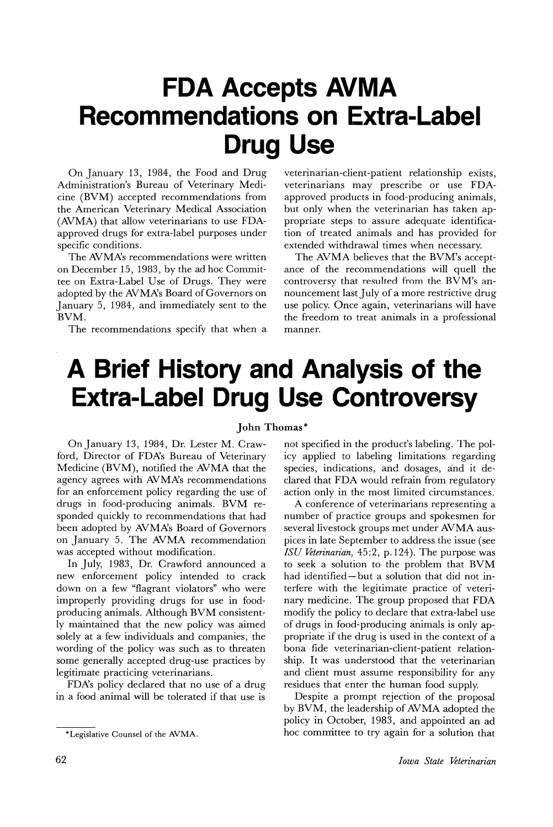## **FDA Accepts AVMA Recommendations on Extra-Label Drug Use**

On January 13, 1984, the Food and Drug Administration's Bureau of Veterinary Medicine (BVM) accepted recommendations from the American Veterinary Medical Association (AVMA) that allow veterinarians to use FDAapproved drugs for extra-label purposes under specific conditions.

The AVMA's recommendations were written on December 15, 1983, by the ad hoc Committee on Extra-Label Use of Drugs. They were adopted by the AVMXs Board of Governors on January 5, 1984, and irnmediately sent to the BVM.

The recommendations specify that when a

veterinarian-client-patient relationship exists, veterinarians may prescribe or use FDAapproved products in food-producing animals, but only when the veterinarian has taken appropriate steps to assure adequate identification of treated animals and has provided for extended withdrawal times when necessary.

The AVMA believes that the BVM's acceptance of the recommendations will quell the controversy that resulted from the BVM's announcement last July of a more restrictive drug use policy. Once again, veterinarians will have the freedom to treat animals in a professional manner.

## **A Brief History and Analysis of the Extra-Label Drug Use Controversy**

## John Thomas\*

On January 13, 1984, Dr. Lester M. Crawford, Director of FDXs Bureau of Veterinary Medicine (BVM), notified the AVMA that the agency agrees with AVMA's recommendations for an enforcement policy regarding the use of drugs in food-producing animals. BVM responded quickly to recommendations that had been adopted by AVMA's Board of Governors on January 5. The AVMA recommendation was accepted without modification.

In July, 1983, Dr. Crawford announced a new enforcement policy intended to crack down on a few "flagrant violators" who were improperly providing drugs for use in foodproducing animals. Although BVM consistently maintained that the new policy was aimed solely at a few individuals and companies, the wording of the policy was such as to threaten some generally accepted drug-use practices by legitimate practicing veterinarians.

FDA's policy declared that no use of a drug in a food animal will be tolerated if that use is

not specified in the product's labeling. The policy applied to labeling limitations regarding species, indications, and dosages, and it declared that FDA would refrain from regulatory action only in the most limited circumstances.

A conference of veterinarians representing a number of practice groups and spokesmen for several livestock groups met under AVMA auspices in late September to address the issue (see *ISU Veterinarian)* 45:2, p.124). The purpose was to seek a solution to the problem that BVM had identified - but a solution that did not interfere with the legitimate practice of veterinary medicine. The group proposed that FDA modify the policy to declare that extra-label use of drugs in food-producing animals is only appropriate if the drug is used in the context of a bona fide veterinarian-client-patient relationship. It was understood that the veterinarian and client must assume responsibility for any residues that enter the human food supply.

Despite a prompt rejection of the proposal by BVM, the leadership of AVMA adopted the policy in October, 1983, and appointed an ad hoc committee to try again for a solution that

<sup>\*</sup>Legislative Counsel of the AVMA.